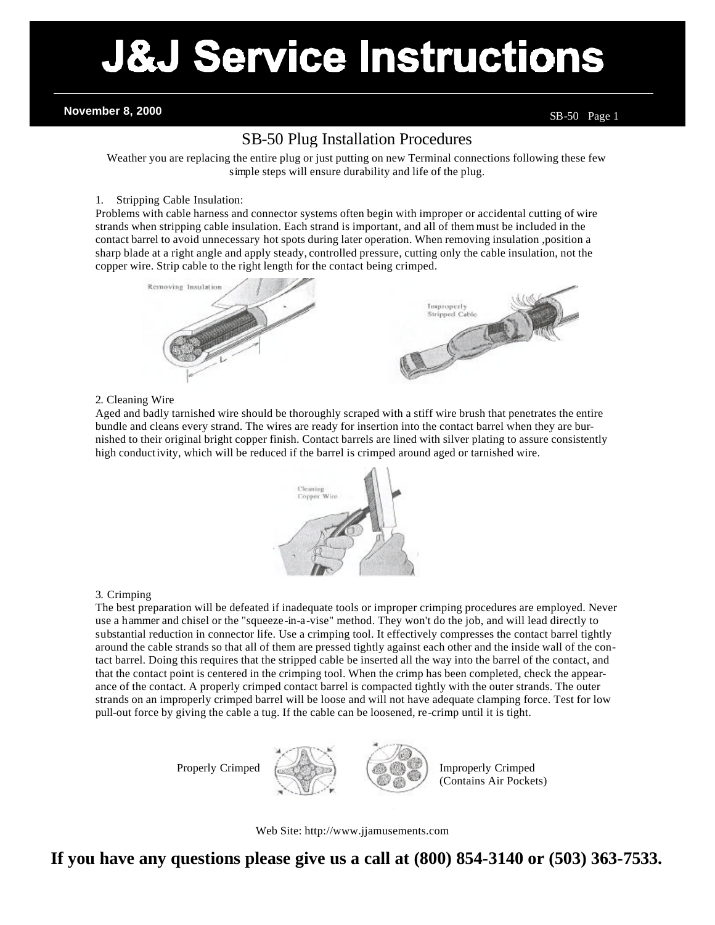# **J&J Service Instructions**

**November 8, 2000** SB-50 Page 1

## SB-50 Plug Installation Procedures

Weather you are replacing the entire plug or just putting on new Terminal connections following these few simple steps will ensure durability and life of the plug.

### 1. Stripping Cable Insulation:

Problems with cable harness and connector systems often begin with improper or accidental cutting of wire strands when stripping cable insulation. Each strand is important, and all of them must be included in the contact barrel to avoid unnecessary hot spots during later operation. When removing insulation ,position a sharp blade at a right angle and apply steady, controlled pressure, cutting only the cable insulation, not the copper wire. Strip cable to the right length for the contact being crimped.



#### 2. Cleaning Wire

Aged and badly tarnished wire should be thoroughly scraped with a stiff wire brush that penetrates the entire bundle and cleans every strand. The wires are ready for insertion into the contact barrel when they are burnished to their original bright copper finish. Contact barrels are lined with silver plating to assure consistently high conductivity, which will be reduced if the barrel is crimped around aged or tarnished wire.



### 3. Crimping

The best preparation will be defeated if inadequate tools or improper crimping procedures are employed. Never use a hammer and chisel or the "squeeze-in-a-vise" method. They won't do the job, and will lead directly to substantial reduction in connector life. Use a crimping tool. It effectively compresses the contact barrel tightly around the cable strands so that all of them are pressed tightly against each other and the inside wall of the contact barrel. Doing this requires that the stripped cable be inserted all the way into the barrel of the contact, and that the contact point is centered in the crimping tool. When the crimp has been completed, check the appearance of the contact. A properly crimped contact barrel is compacted tightly with the outer strands. The outer strands on an improperly crimped barrel will be loose and will not have adequate clamping force. Test for low pull-out force by giving the cable a tug. If the cable can be loosened, re-crimp until it is tight.



Properly Crimped  $\left\{\right\}$  Improperly Crimped (Contains Air Pockets)

Web Site: http://www.jjamusements.com

**If you have any questions please give us a call at (800) 854-3140 or (503) 363-7533.**